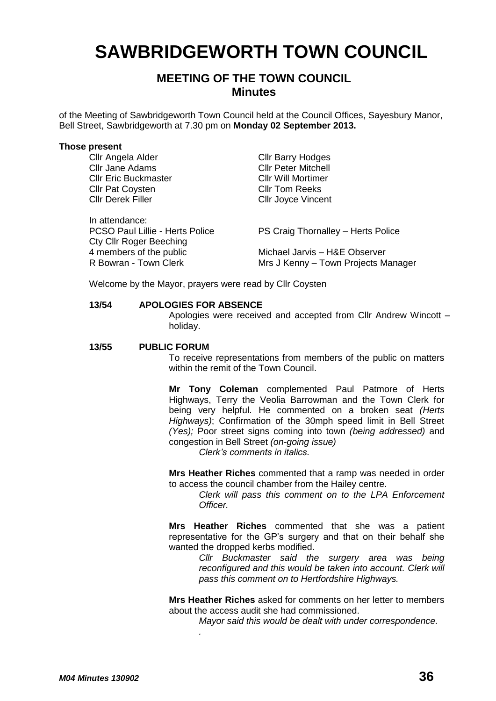# **SAWBRIDGEWORTH TOWN COUNCIL**

# **MEETING OF THE TOWN COUNCIL Minutes**

of the Meeting of Sawbridgeworth Town Council held at the Council Offices, Sayesbury Manor, Bell Street, Sawbridgeworth at 7.30 pm on **Monday 02 September 2013.**

#### **Those present**

Cllr Angela Alder Cllr Barry Hodges Cllr Jane Adams<br>
Cllr Peter Mitchell<br>
Cllr Fric Buckmaster<br>
Cllr Will Mortimer **Cllr Eric Buckmaster** Cllr Will Mortime<br>Cllr Pat Coysten Cllr Tom Reeks Cllr Pat Covsten Cllr Derek Filler Cllr Joyce Vincent In attendance:<br>PCSO Paul Lillie - Herts Police PS Craig Thornalley - Herts Police Cty Cllr Roger Beeching 4 members of the public<br>
R Bowran - Town Clerk<br>
Michael Jarvis – H&E Observer<br>
Michael Jarvis – H&E Observer Mrs J Kenny – Town Projects Manager

Welcome by the Mayor, prayers were read by Cllr Coysten

*.*

#### **13/54 APOLOGIES FOR ABSENCE**

Apologies were received and accepted from Cllr Andrew Wincott – holiday.

#### **13/55 PUBLIC FORUM**

To receive representations from members of the public on matters within the remit of the Town Council.

**Mr Tony Coleman** complemented Paul Patmore of Herts Highways, Terry the Veolia Barrowman and the Town Clerk for being very helpful. He commented on a broken seat *(Herts Highways)*; Confirmation of the 30mph speed limit in Bell Street *(Yes);* Poor street signs coming into town *(being addressed)* and congestion in Bell Street *(on-going issue)*

*Clerk's comments in italics.*

**Mrs Heather Riches** commented that a ramp was needed in order to access the council chamber from the Hailey centre.

> *Clerk will pass this comment on to the LPA Enforcement Officer.*

**Mrs Heather Riches** commented that she was a patient representative for the GP's surgery and that on their behalf she wanted the dropped kerbs modified.

> *Cllr Buckmaster said the surgery area was being reconfigured and this would be taken into account. Clerk will pass this comment on to Hertfordshire Highways.*

**Mrs Heather Riches** asked for comments on her letter to members about the access audit she had commissioned.

*Mayor said this would be dealt with under correspondence.*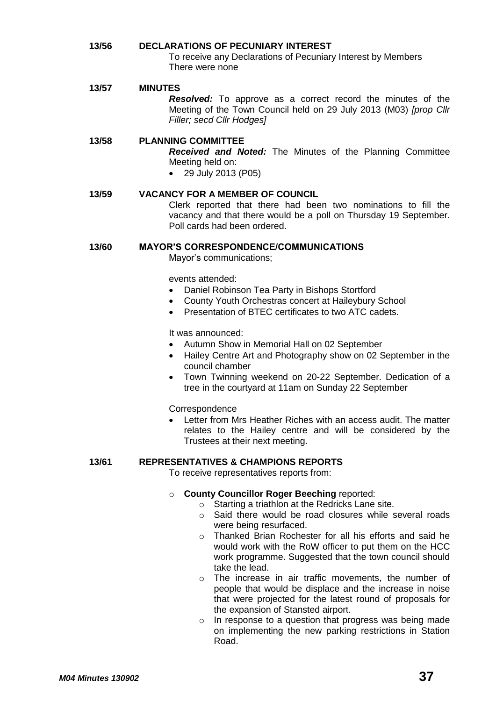# **13/56 DECLARATIONS OF PECUNIARY INTEREST** To receive any Declarations of Pecuniary Interest by Members

There were none

**13/57 MINUTES**

*Resolved:* To approve as a correct record the minutes of the Meeting of the Town Council held on 29 July 2013 (M03) *[prop Cllr Filler; secd Cllr Hodges]*

# **13/58 PLANNING COMMITTEE**

*Received and Noted:* The Minutes of the Planning Committee Meeting held on:

- 29 July 2013 (P05)
- **13/59 VACANCY FOR A MEMBER OF COUNCIL** Clerk reported that there had been two nominations to fill the vacancy and that there would be a poll on Thursday 19 September. Poll cards had been ordered.

## **13/60 MAYOR'S CORRESPONDENCE/COMMUNICATIONS**

Mayor's communications;

events attended:

- Daniel Robinson Tea Party in Bishops Stortford
- County Youth Orchestras concert at Haileybury School
- Presentation of BTEC certificates to two ATC cadets.

It was announced:

- Autumn Show in Memorial Hall on 02 September
- Hailey Centre Art and Photography show on 02 September in the council chamber
- Town Twinning weekend on 20-22 September. Dedication of a tree in the courtyard at 11am on Sunday 22 September

**Correspondence** 

 Letter from Mrs Heather Riches with an access audit. The matter relates to the Hailey centre and will be considered by the Trustees at their next meeting.

### **13/61 REPRESENTATIVES & CHAMPIONS REPORTS**

To receive representatives reports from:

## o **County Councillor Roger Beeching** reported:

- o Starting a triathlon at the Redricks Lane site.
- o Said there would be road closures while several roads were being resurfaced.
- o Thanked Brian Rochester for all his efforts and said he would work with the RoW officer to put them on the HCC work programme. Suggested that the town council should take the lead.
- o The increase in air traffic movements, the number of people that would be displace and the increase in noise that were projected for the latest round of proposals for the expansion of Stansted airport.
- o In response to a question that progress was being made on implementing the new parking restrictions in Station Road.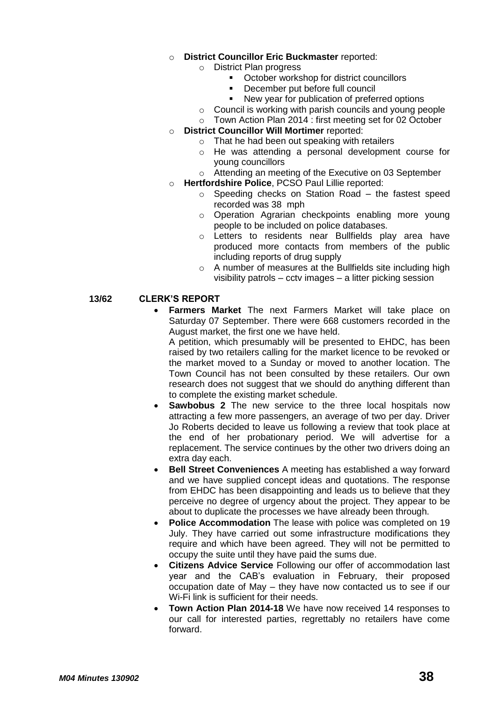## o **District Councillor Eric Buckmaster** reported:

- o District Plan progress
	- October workshop for district councillors
	- December put before full council
	- New year for publication of preferred options
- o Council is working with parish councils and young people
- o Town Action Plan 2014 : first meeting set for 02 October
- o **District Councillor Will Mortimer** reported:
	- o That he had been out speaking with retailers
	- o He was attending a personal development course for young councillors
	- o Attending an meeting of the Executive on 03 September
- o **Hertfordshire Police**, PCSO Paul Lillie reported:
	- Speeding checks on Station Road  $-$  the fastest speed recorded was 38 mph
	- o Operation Agrarian checkpoints enabling more young people to be included on police databases.
	- o Letters to residents near Bullfields play area have produced more contacts from members of the public including reports of drug supply
	- o A number of measures at the Bullfields site including high visibility patrols – cctv images – a litter picking session

# **13/62 CLERK'S REPORT**

 **Farmers Market** The next Farmers Market will take place on Saturday 07 September. There were 668 customers recorded in the August market, the first one we have held.

A petition, which presumably will be presented to EHDC, has been raised by two retailers calling for the market licence to be revoked or the market moved to a Sunday or moved to another location. The Town Council has not been consulted by these retailers. Our own research does not suggest that we should do anything different than to complete the existing market schedule.

- **Sawbobus 2** The new service to the three local hospitals now attracting a few more passengers, an average of two per day. Driver Jo Roberts decided to leave us following a review that took place at the end of her probationary period. We will advertise for a replacement. The service continues by the other two drivers doing an extra day each.
- **Bell Street Conveniences** A meeting has established a way forward and we have supplied concept ideas and quotations. The response from EHDC has been disappointing and leads us to believe that they perceive no degree of urgency about the project. They appear to be about to duplicate the processes we have already been through.
- **Police Accommodation** The lease with police was completed on 19 July. They have carried out some infrastructure modifications they require and which have been agreed. They will not be permitted to occupy the suite until they have paid the sums due.
- **Citizens Advice Service** Following our offer of accommodation last year and the CAB's evaluation in February, their proposed occupation date of May – they have now contacted us to see if our Wi-Fi link is sufficient for their needs.
- **Town Action Plan 2014-18** We have now received 14 responses to our call for interested parties, regrettably no retailers have come forward.